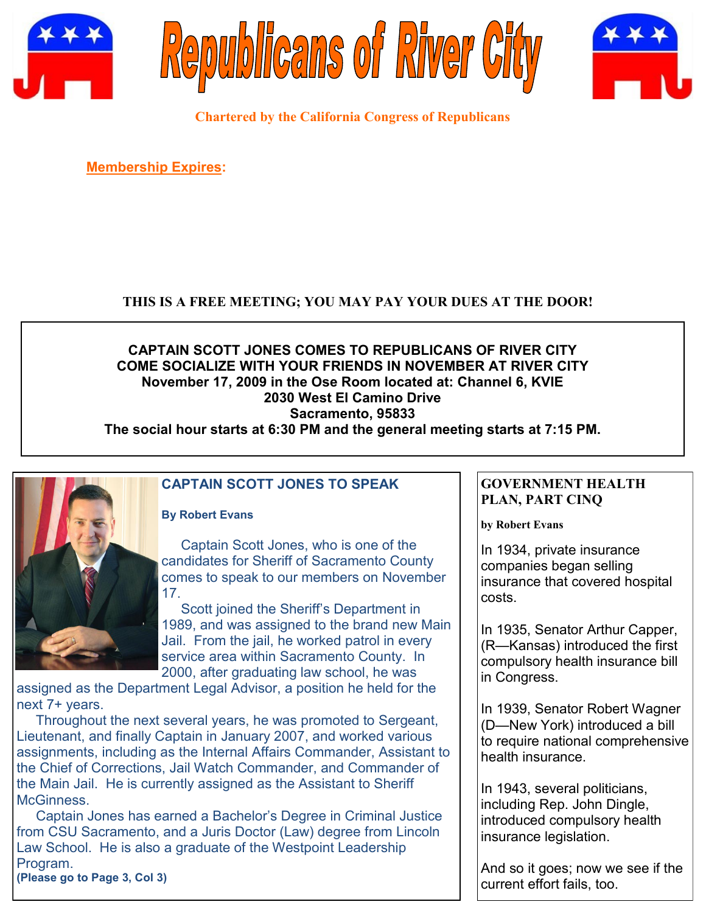





**Chartered by the California Congress of Republicans**

**Membership Expires:** 

## **THIS IS A FREE MEETING; YOU MAY PAY YOUR DUES AT THE DOOR!**

# **CAPTAIN SCOTT JONES COMES TO REPUBLICANS OF RIVER CITY COME SOCIALIZE WITH YOUR FRIENDS IN NOVEMBER AT RIVER CITY November 17, 2009 in the Ose Room located at: Channel 6, KVIE 2030 West El Camino Drive Sacramento, 95833**

**The social hour starts at 6:30 PM and the general meeting starts at 7:15 PM.**



# **CAPTAIN SCOTT JONES TO SPEAK**

#### **By Robert Evans**

 Captain Scott Jones, who is one of the candidates for Sheriff of Sacramento County comes to speak to our members on November 17.

 Scott joined the Sheriff's Department in 1989, and was assigned to the brand new Main Jail. From the jail, he worked patrol in every service area within Sacramento County. In 2000, after graduating law school, he was

assigned as the Department Legal Advisor, a position he held for the next 7+ years.

 Throughout the next several years, he was promoted to Sergeant, Lieutenant, and finally Captain in January 2007, and worked various assignments, including as the Internal Affairs Commander, Assistant to the Chief of Corrections, Jail Watch Commander, and Commander of the Main Jail. He is currently assigned as the Assistant to Sheriff McGinness.

 Captain Jones has earned a Bachelor's Degree in Criminal Justice from CSU Sacramento, and a Juris Doctor (Law) degree from Lincoln Law School. He is also a graduate of the Westpoint Leadership Program.

**(Please go to Page 3, Col 3)**

#### **GOVERNMENT HEALTH PLAN, PART CINQ**

**by Robert Evans**

In 1934, private insurance companies began selling insurance that covered hospital costs.

In 1935, Senator Arthur Capper, (R—Kansas) introduced the first compulsory health insurance bill in Congress.

In 1939, Senator Robert Wagner (D—New York) introduced a bill to require national comprehensive health insurance.

In 1943, several politicians, including Rep. John Dingle, introduced compulsory health insurance legislation.

And so it goes; now we see if the current effort fails, too.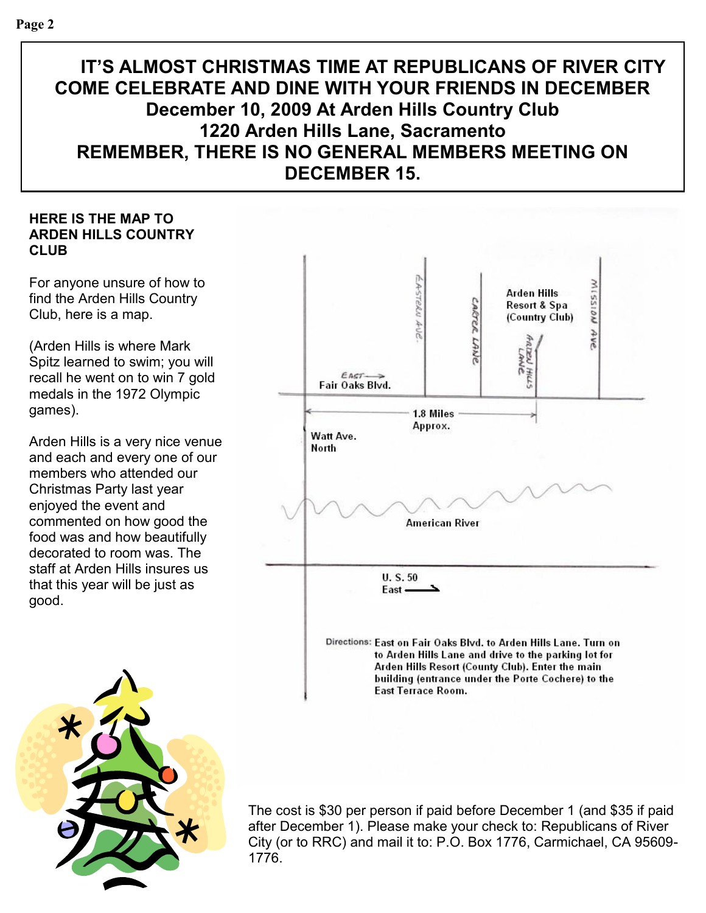# **IT'S ALMOST CHRISTMAS TIME AT REPUBLICANS OF RIVER CITY COME CELEBRATE AND DINE WITH YOUR FRIENDS IN DECEMBER December 10, 2009 At Arden Hills Country Club 1220 Arden Hills Lane, Sacramento REMEMBER, THERE IS NO GENERAL MEMBERS MEETING ON DECEMBER 15.**

### **HERE IS THE MAP TO ARDEN HILLS COUNTRY CLUB**

For anyone unsure of how to find the Arden Hills Country Club, here is a map.

(Arden Hills is where Mark Spitz learned to swim; you will recall he went on to win 7 gold medals in the 1972 Olympic games).

Arden Hills is a very nice venue and each and every one of our members who attended our Christmas Party last year enjoyed the event and commented on how good the food was and how beautifully decorated to room was. The staff at Arden Hills insures us that this year will be just as good.





The cost is \$30 per person if paid before December 1 (and \$35 if paid after December 1). Please make your check to: Republicans of River City (or to RRC) and mail it to: P.O. Box 1776, Carmichael, CA 95609- 1776.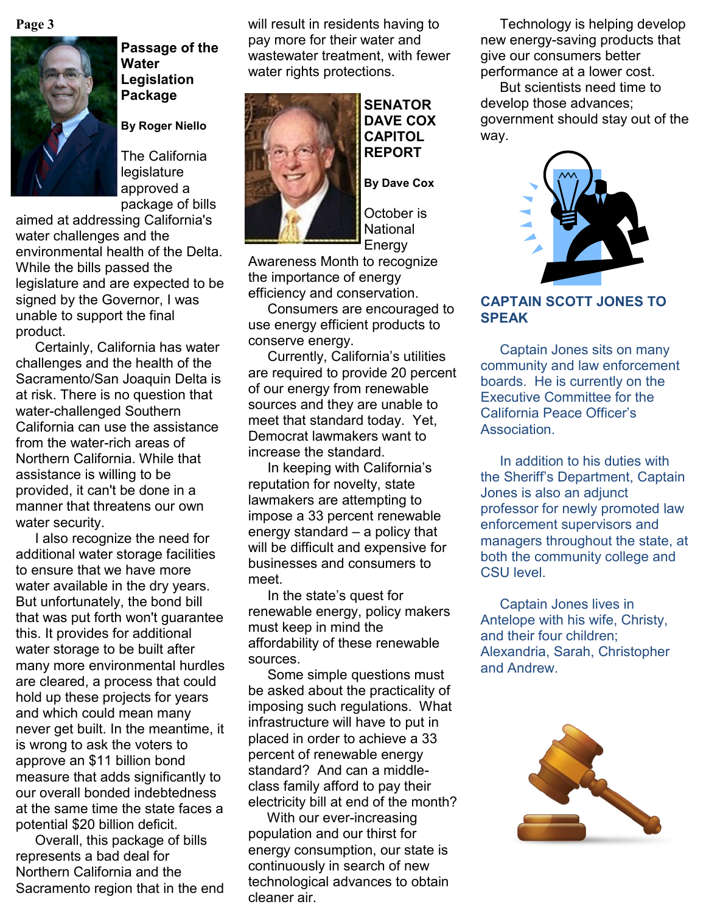**Page 3**



**Passage of the Water Legislation Package**

**By Roger Niello**

The California **legislature** approved a package of bills

aimed at addressing California's water challenges and the environmental health of the Delta. While the bills passed the legislature and are expected to be signed by the Governor, I was unable to support the final product.

 Certainly, California has water challenges and the health of the Sacramento/San Joaquin Delta is at risk. There is no question that water-challenged Southern California can use the assistance from the water-rich areas of Northern California. While that assistance is willing to be provided, it can't be done in a manner that threatens our own water security.

 I also recognize the need for additional water storage facilities to ensure that we have more water available in the dry years. But unfortunately, the bond bill that was put forth won't guarantee this. It provides for additional water storage to be built after many more environmental hurdles are cleared, a process that could hold up these projects for years and which could mean many never get built. In the meantime, it is wrong to ask the voters to approve an \$11 billion bond measure that adds significantly to our overall bonded indebtedness at the same time the state faces a potential \$20 billion deficit.

 Overall, this package of bills represents a bad deal for Northern California and the Sacramento region that in the end will result in residents having to pay more for their water and wastewater treatment, with fewer water rights protections.



**SENATOR DAVE COX CAPITOL REPORT**

**By Dave Cox**

October is National Energy

Awareness Month to recognize the importance of energy efficiency and conservation.

 Consumers are encouraged to use energy efficient products to conserve energy.

 Currently, California's utilities are required to provide 20 percent of our energy from renewable sources and they are unable to meet that standard today. Yet, Democrat lawmakers want to increase the standard.

 In keeping with California's reputation for novelty, state lawmakers are attempting to impose a 33 percent renewable energy standard – a policy that will be difficult and expensive for businesses and consumers to meet.

 In the state's quest for renewable energy, policy makers must keep in mind the affordability of these renewable sources.

 Some simple questions must be asked about the practicality of imposing such regulations. What infrastructure will have to put in placed in order to achieve a 33 percent of renewable energy standard? And can a middleclass family afford to pay their electricity bill at end of the month?

 With our ever-increasing population and our thirst for energy consumption, our state is continuously in search of new technological advances to obtain cleaner air.

 Technology is helping develop new energy-saving products that give our consumers better performance at a lower cost.

 But scientists need time to develop those advances; government should stay out of the way.



#### **CAPTAIN SCOTT JONES TO SPEAK**

 Captain Jones sits on many community and law enforcement boards. He is currently on the Executive Committee for the California Peace Officer's Association.

 In addition to his duties with the Sheriff's Department, Captain Jones is also an adjunct professor for newly promoted law enforcement supervisors and managers throughout the state, at both the community college and CSU level.

 Captain Jones lives in Antelope with his wife, Christy, and their four children; Alexandria, Sarah, Christopher and Andrew.

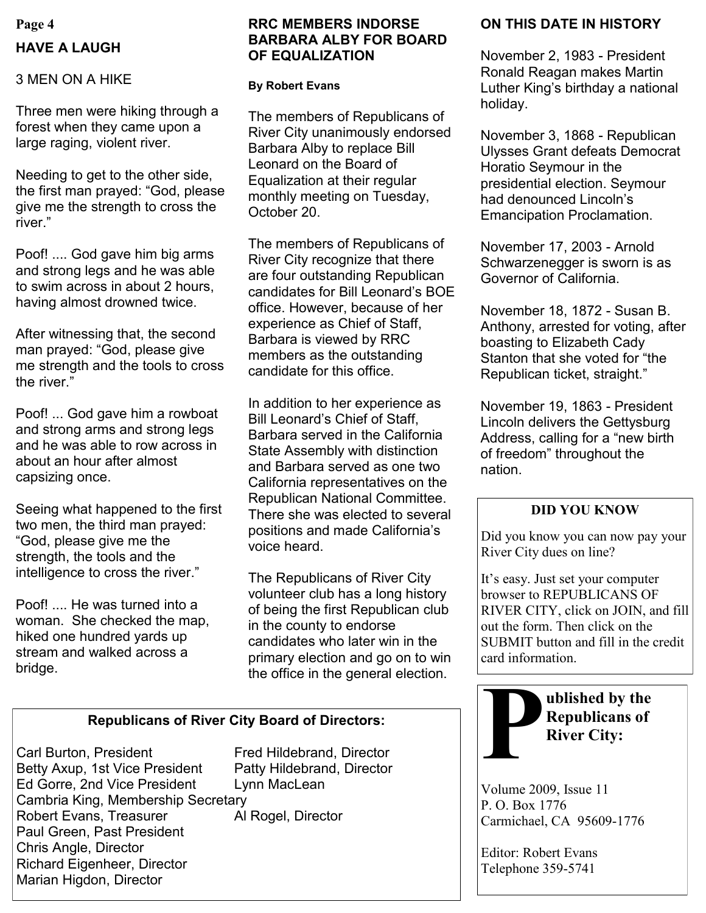# **Page 4 HAVE A LAUGH**

### 3 MEN ON A HIKE

Three men were hiking through a forest when they came upon a large raging, violent river.

Needing to get to the other side, the first man prayed: "God, please give me the strength to cross the river."

Poof! .... God gave him big arms and strong legs and he was able to swim across in about 2 hours, having almost drowned twice.

After witnessing that, the second man prayed: "God, please give me strength and the tools to cross the river."

Poof! ... God gave him a rowboat and strong arms and strong legs and he was able to row across in about an hour after almost capsizing once.

Seeing what happened to the first two men, the third man prayed: ―God, please give me the strength, the tools and the intelligence to cross the river."

Poof! .... He was turned into a woman. She checked the map, hiked one hundred yards up stream and walked across a bridge.

#### **RRC MEMBERS INDORSE BARBARA ALBY FOR BOARD OF EQUALIZATION**

#### **By Robert Evans**

The members of Republicans of River City unanimously endorsed Barbara Alby to replace Bill Leonard on the Board of Equalization at their regular monthly meeting on Tuesday, October 20.

The members of Republicans of River City recognize that there are four outstanding Republican candidates for Bill Leonard's BOE office. However, because of her experience as Chief of Staff, Barbara is viewed by RRC members as the outstanding candidate for this office.

In addition to her experience as Bill Leonard's Chief of Staff, Barbara served in the California State Assembly with distinction and Barbara served as one two California representatives on the Republican National Committee. There she was elected to several positions and made California's voice heard.

The Republicans of River City volunteer club has a long history of being the first Republican club in the county to endorse candidates who later win in the primary election and go on to win the office in the general election.

## **Republicans of River City Board of Directors:**

Carl Burton, President Fred Hildebrand, Director Betty Axup, 1st Vice President Patty Hildebrand, Director Ed Gorre, 2nd Vice President Lynn MacLean Cambria King, Membership Secretary Robert Evans, Treasurer Al Rogel, Director Paul Green, Past President Chris Angle, Director Richard Eigenheer, Director Marian Higdon, Director

# **ON THIS DATE IN HISTORY**

November 2, 1983 - President Ronald Reagan makes Martin Luther King's birthday a national holiday.

November 3, 1868 - Republican Ulysses Grant defeats Democrat Horatio Seymour in the presidential election. Seymour had denounced Lincoln's Emancipation Proclamation.

November 17, 2003 - Arnold Schwarzenegger is sworn is as Governor of California.

November 18, 1872 - Susan B. Anthony, arrested for voting, after boasting to Elizabeth Cady Stanton that she voted for "the Republican ticket, straight."

November 19, 1863 - President Lincoln delivers the Gettysburg Address, calling for a "new birth of freedom" throughout the nation.

## **DID YOU KNOW**

Did you know you can now pay your River City dues on line?

It's easy. Just set your computer browser to REPUBLICANS OF RIVER CITY, click on JOIN, and fill out the form. Then click on the SUBMIT button and fill in the credit card information.



Volume 2009, Issue 11 P. O. Box 1776 Carmichael, CA 95609-1776

Editor: Robert Evans Telephone 359-5741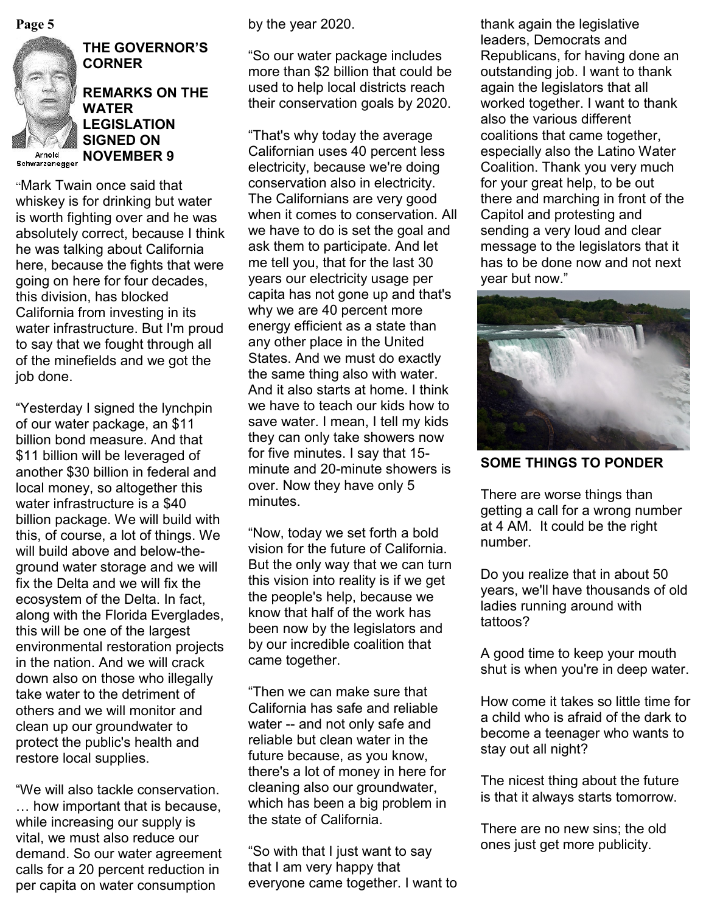

**THE GOVERNOR'S CORNER**

## **REMARKS ON THE WATER LEGISLATION SIGNED ON Arnold NOVEMBER 9**

"Mark Twain once said that whiskey is for drinking but water is worth fighting over and he was absolutely correct, because I think he was talking about California here, because the fights that were going on here for four decades, this division, has blocked California from investing in its water infrastructure. But I'm proud to say that we fought through all of the minefields and we got the job done.

―Yesterday I signed the lynchpin of our water package, an \$11 billion bond measure. And that \$11 billion will be leveraged of another \$30 billion in federal and local money, so altogether this water infrastructure is a \$40 billion package. We will build with this, of course, a lot of things. We will build above and below-theground water storage and we will fix the Delta and we will fix the ecosystem of the Delta. In fact, along with the Florida Everglades, this will be one of the largest environmental restoration projects in the nation. And we will crack down also on those who illegally take water to the detriment of others and we will monitor and clean up our groundwater to protect the public's health and restore local supplies.

―We will also tackle conservation. … how important that is because, while increasing our supply is vital, we must also reduce our demand. So our water agreement calls for a 20 percent reduction in per capita on water consumption

by the year 2020.

―So our water package includes more than \$2 billion that could be used to help local districts reach their conservation goals by 2020.

―That's why today the average Californian uses 40 percent less electricity, because we're doing conservation also in electricity. The Californians are very good when it comes to conservation. All we have to do is set the goal and ask them to participate. And let me tell you, that for the last 30 years our electricity usage per capita has not gone up and that's why we are 40 percent more energy efficient as a state than any other place in the United States. And we must do exactly the same thing also with water. And it also starts at home. I think we have to teach our kids how to save water. I mean, I tell my kids they can only take showers now for five minutes. I say that 15 minute and 20-minute showers is over. Now they have only 5 minutes.

"Now, today we set forth a bold vision for the future of California. But the only way that we can turn this vision into reality is if we get the people's help, because we know that half of the work has been now by the legislators and by our incredible coalition that came together.

―Then we can make sure that California has safe and reliable water -- and not only safe and reliable but clean water in the future because, as you know, there's a lot of money in here for cleaning also our groundwater, which has been a big problem in the state of California.

―So with that I just want to say that I am very happy that everyone came together. I want to

**Page 5** thank again the legislative by the year 2020. leaders, Democrats and Republicans, for having done an outstanding job. I want to thank again the legislators that all worked together. I want to thank also the various different coalitions that came together, especially also the Latino Water Coalition. Thank you very much for your great help, to be out there and marching in front of the Capitol and protesting and sending a very loud and clear message to the legislators that it has to be done now and not next year but now."



**SOME THINGS TO PONDER**

There are worse things than getting a call for a wrong number at 4 AM. It could be the right number.

Do you realize that in about 50 years, we'll have thousands of old ladies running around with tattoos?

A good time to keep your mouth shut is when you're in deep water.

How come it takes so little time for a child who is afraid of the dark to become a teenager who wants to stay out all night?

The nicest thing about the future is that it always starts tomorrow.

There are no new sins; the old ones just get more publicity.